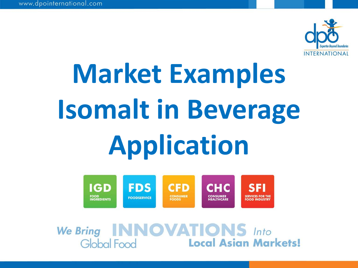

# **Market Examples Isomalt in Beverage Application**



We Bring INNOVATIONS Into<br>Global Food Local Asian Markets!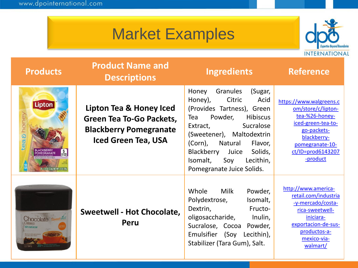

| <b>Products</b>                                                                     | <b>Product Name and</b><br><b>Descriptions</b>                                                                            | <b>Ingredients</b>                                                                                                                                                                                                                                                                                              | <b>Reference</b>                                                                                                                                                        |
|-------------------------------------------------------------------------------------|---------------------------------------------------------------------------------------------------------------------------|-----------------------------------------------------------------------------------------------------------------------------------------------------------------------------------------------------------------------------------------------------------------------------------------------------------------|-------------------------------------------------------------------------------------------------------------------------------------------------------------------------|
| <b>Lipton</b><br>tea & hone<br>POMEGRANATE<br>10 = 0.14 02 (3.9c) NET WT 1.4 02 (3) | Lipton Tea & Honey Iced<br><b>Green Tea To-Go Packets,</b><br><b>Blackberry Pomegranate</b><br><b>Iced Green Tea, USA</b> | (Sugar,<br>Granules<br>Honey<br>Acid<br>Citric<br>Honey),<br>(Provides Tartness), Green<br>Powder,<br><b>Hibiscus</b><br>Tea<br>Sucralose<br>Extract,<br>(Sweetener), Maltodextrin<br>(Corn),<br>Natural<br>Flavor,<br>Blackberry Juice<br>Solids,<br>Isomalt,<br>Soy<br>Lecithin,<br>Pomegranate Juice Solids. | https://www.walgreens.c<br>om/store/c/lipton-<br>tea-%26-honey-<br>iced-green-tea-to-<br>go-packets-<br>blackberry-<br>pomegranate-10-<br>ct/ID=prod6143207<br>-product |
| hocolate sweetwell                                                                  | <b>Sweetwell - Hot Chocolate,</b><br>Peru                                                                                 | Whole<br>Milk<br>Powder,<br>Polydextrose,<br>Isomalt,<br>Dextrin,<br>Fructo-<br>oligosaccharide,<br>Inulin,<br>Sucralose, Cocoa Powder,<br>Emulsifier (Soy<br>Lecithin),<br>Stabilizer (Tara Gum), Salt.                                                                                                        | http://www.america-<br>retail.com/industria<br>-y-mercado/costa-<br>rica-sweetwell-<br>iniciara-<br>exportacion-de-sus-<br>productos-a-<br>mexico-via-<br>walmart/      |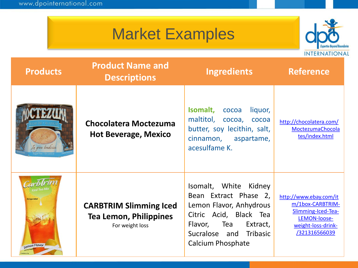

| <b>Products</b>   | <b>Product Name and</b><br><b>Descriptions</b>                                    | <b>Ingredients</b>                                                                                                                                                                      | <b>Reference</b>                                                                                                        |
|-------------------|-----------------------------------------------------------------------------------|-----------------------------------------------------------------------------------------------------------------------------------------------------------------------------------------|-------------------------------------------------------------------------------------------------------------------------|
| Ta gran tradición | <b>Chocolatera Moctezuma</b><br><b>Hot Beverage, Mexico</b>                       | Isomalt,<br>liquor,<br>cocoa<br>maltitol,<br>cocoa,<br>cocoa<br>butter, soy lecithin, salt,<br>cinnamon, aspartame,<br>acesulfame K.                                                    | http://chocolatera.com/<br>MoctezumaChocola<br>tes/index.html                                                           |
| Lemon Flavor      | <b>CARBTRIM Slimming Iced</b><br><b>Tea Lemon, Philippines</b><br>For weight loss | Isomalt, White Kidney<br>Bean Extract Phase 2,<br>Lemon Flavor, Anhydrous<br>Citric Acid, Black Tea<br>Tea<br>Extract,<br>Flavor,<br>Sucralose and Tribasic<br><b>Calcium Phosphate</b> | http://www.ebay.com/it<br>m/1box-CARBTRIM-<br>Slimming-Iced-Tea-<br>LEMON-loose-<br>weight-loss-drink-<br>/321316566039 |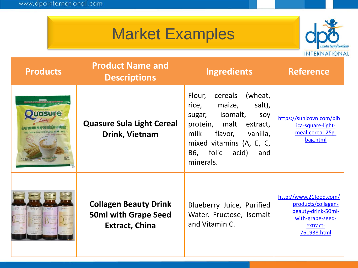

| <b>Products</b> | <b>Product Name and</b><br><b>Descriptions</b>                                       | <b>Ingredients</b>                                                                                                                                                                                                 | <b>Reference</b>                                                                                                  |
|-----------------|--------------------------------------------------------------------------------------|--------------------------------------------------------------------------------------------------------------------------------------------------------------------------------------------------------------------|-------------------------------------------------------------------------------------------------------------------|
| <b>GRUKE</b>    | <b>Quasure Sula Light Cereal</b><br>Drink, Vietnam                                   | cereals<br>(wheat,<br>Flour,<br>salt),<br>maize,<br>rice,<br>isomalt,<br>sugar,<br>soy<br>protein, malt extract,<br>milk<br>flavor,<br>vanilla,<br>mixed vitamins (A, E, C,<br>B6, folic acid)<br>and<br>minerals. | https://sunicovn.com/bib<br>ica-square-light-<br>meal-cereal-25g-<br>bag.html                                     |
|                 | <b>Collagen Beauty Drink</b><br><b>50ml with Grape Seed</b><br><b>Extract, China</b> | Blueberry Juice, Purified<br>Water, Fructose, Isomalt<br>and Vitamin C.                                                                                                                                            | http://www.21food.com/<br>products/collagen-<br>beauty-drink-50ml-<br>with-grape-seed-<br>extract-<br>761938.html |